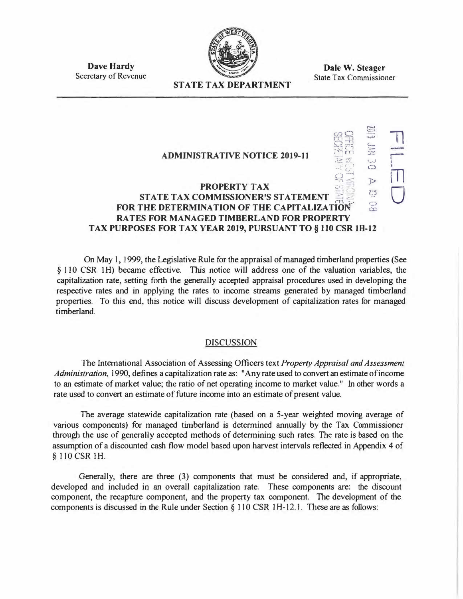

**Dave Hardy**  Secretary of Revenue

**Dale W. Steager**  State Tax Commissioner

# **STATE TAX DEPARTMENT**

#### **ADMINISTRATIVE NOTICE 2019-11**  (.. .... . *\_.\_ \_,\_ .,,*   $\frac{1}{\mathcal{O}}$ **PROPERTY TAX**<br> **EXAMPLE PROPERTY TAX in STATE TAX COMMISSIONER'S STATEMENT**  $\frac{1}{100}$  **or the capitalization of the conduction of the conduction of the conduction of the conduction of the conduction of the conduction of the conduction of the conduction of th FOR THE DETERMINATION OF THE CAPITALIZATION RA TES FOR MANAGED TIMBERLAND FOR PROPERTY TAX PURPOSES FOR TAX YEAR 2019, PURSUANT TO§ 110 CSR IH-12**   $\Box$ r i<br>M  $\bigcup$

On May l, 1999, the Legislative Rule for the appraisal of managed timberland properties (See § 110 CSR 1H) became effective. This notice will address one of the valuation variables, the capitalization rate, setting forth the generally accepted appraisal procedures used in developing the respective rates and in applying the rates to income streams generated by managed timberland properties. To this end, this notice will discuss development of capitalization rates for managed timberland.

### DISCUSSION

The International Association of Assessing Officers text *Property Appraisal and Assessment Administration,* 1990, defines a capitalization rate as: "Any rate used to convert an estimate of income to an estimate of market value; the ratio of net operating income to market value." In other words a rate used to convert an estimate of future income into an estimate of present value.

The average statewide capitalization rate (based on a 5-year weighted moving average of various components) for managed timberland is determined annually by the Tax Commissioner through the use of generally accepted methods of determining such rates. The rate is based on the assumption of a discounted cash flow model based upon harvest intervals reflected in Appendix 4 of § ll0CSR lH.

Generally, there are three (3) components that must be considered and, if appropriate, developed and included in an overall capitalization rate. These components are: the discount component, the recapture component, and the property tax component. The development of the components is discussed in the Rule under Section § 110 CSR 1H-12.1. These are as follows: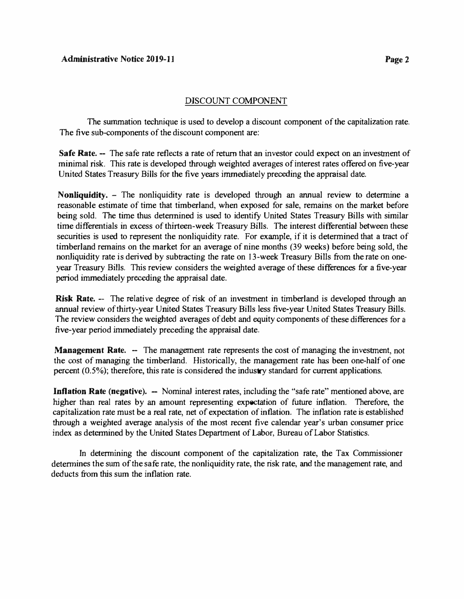## DISCOUNT COMPONENT

The swnmation technique is used to develop a discount component of the capitalization rate. The five sub-components of the discount component are:

**Safe Rate.** -- The safe rate reflects a rate of return that an investor could expect on an investment of minimal risk. This rate is developed through weighted averages of interest rates offered on five-year United States Treasury Bills for the five years immediately preceding the appraisal date.

**Nonliquidity.** - The nonliquidity rate is developed through an annual review to determine a reasonable estimate of time that timberland, when exposed for sale, remains on the market before being sold. The time thus determined is used to identify United States Treasury Bills with similar time differentials in excess of thirteen-week Treasury Bills. The interest differential between these securities is used to represent the nonliquidity rate. For example, if it is determined that a tract of timberland remains on the market for an average of nine months (39 weeks) before being sold, the nonliquidity rate is derived by subtracting the rate on 13-week Treasury Bills from the rate on oneyear Treasury Bills. This review considers the weighted average of these differences for a five-year period immediately preceding the appraisal date.

**Risk Rate.** -- The relative degree of risk of an investment in timberland is developed through an annual review of thirty-year United States Treasury Bills less five-year United States Treasury Bills. The review considers the weighted averages of debt and equity components of these differences for a five-year period immediately preceding the appraisal date.

**Management Rate.** -- The management rate represents the cost of managing the investment, not the cost of managing the timberland. Historically, the management rate has been one-half of one percent (0.5%); therefore, this rate is considered the industry standard for current applications.

**Inflation Rate (negative).** -- Nominal interest rates, including the "safe rate" mentioned above, are higher than real rates by an amount representing expectation of future inflation. Therefore, the capitaJization rate must be a real rate, net of expectation of inflation. The inflation rate is established through a weighted average analysis of the most recent five calendar year's urban conswner price index as determined by the United States Department of Labor, Bureau of Labor Statistics.

In determining the discount component of the capitalization rate, the Tax Commissioner determines the sum of the safe rate, the nonliquidity rate, the risk rate, and the management rate, and deducts from this sum the inflation rate.